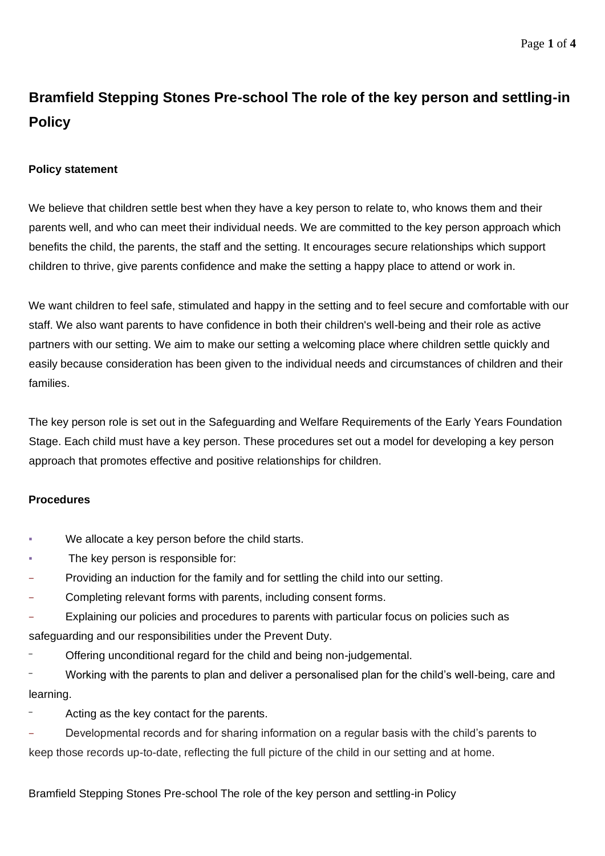# **Bramfield Stepping Stones Pre-school The role of the key person and settling-in Policy**

# **Policy statement**

We believe that children settle best when they have a key person to relate to, who knows them and their parents well, and who can meet their individual needs. We are committed to the key person approach which benefits the child, the parents, the staff and the setting. It encourages secure relationships which support children to thrive, give parents confidence and make the setting a happy place to attend or work in.

We want children to feel safe, stimulated and happy in the setting and to feel secure and comfortable with our staff. We also want parents to have confidence in both their children's well-being and their role as active partners with our setting. We aim to make our setting a welcoming place where children settle quickly and easily because consideration has been given to the individual needs and circumstances of children and their families.

The key person role is set out in the Safeguarding and Welfare Requirements of the Early Years Foundation Stage. Each child must have a key person. These procedures set out a model for developing a key person approach that promotes effective and positive relationships for children.

## **Procedures**

- We allocate a key person before the child starts.
- The key person is responsible for:
- − Providing an induction for the family and for settling the child into our setting.
- − Completing relevant forms with parents, including consent forms.
- Explaining our policies and procedures to parents with particular focus on policies such as safeguarding and our responsibilities under the Prevent Duty.
- ‒ Offering unconditional regard for the child and being non-judgemental.
- ‒ Working with the parents to plan and deliver a personalised plan for the child's well-being, care and learning.
- Acting as the key contact for the parents.
- Developmental records and for sharing information on a regular basis with the child's parents to keep those records up-to-date, reflecting the full picture of the child in our setting and at home.

## Bramfield Stepping Stones Pre-school The role of the key person and settling-in Policy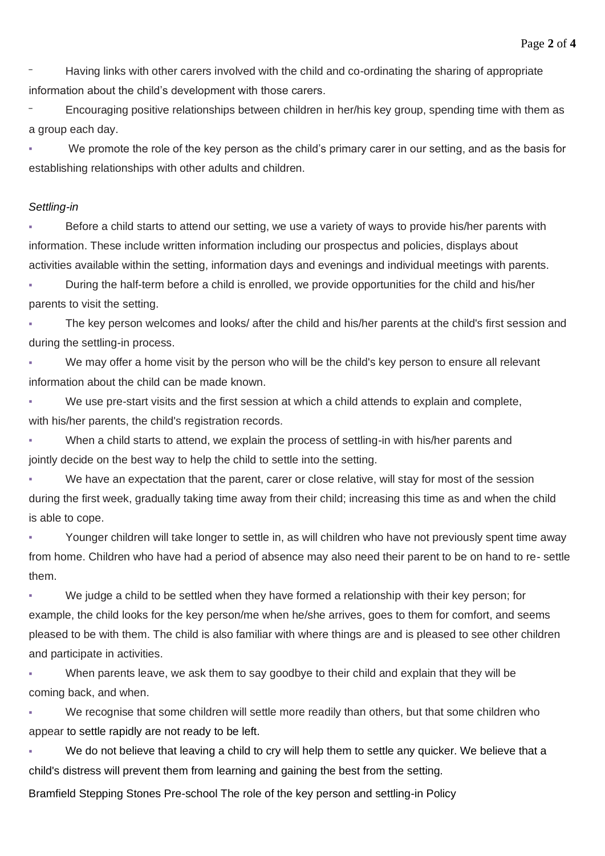‒ Having links with other carers involved with the child and co-ordinating the sharing of appropriate information about the child's development with those carers.

‒ Encouraging positive relationships between children in her/his key group, spending time with them as a group each day.

We promote the role of the key person as the child's primary carer in our setting, and as the basis for establishing relationships with other adults and children.

#### *Settling-in*

Before a child starts to attend our setting, we use a variety of ways to provide his/her parents with information. These include written information including our prospectus and policies, displays about activities available within the setting, information days and evenings and individual meetings with parents.

During the half-term before a child is enrolled, we provide opportunities for the child and his/her parents to visit the setting.

The key person welcomes and looks/ after the child and his/her parents at the child's first session and during the settling-in process.

We may offer a home visit by the person who will be the child's key person to ensure all relevant information about the child can be made known.

We use pre-start visits and the first session at which a child attends to explain and complete, with his/her parents, the child's registration records.

When a child starts to attend, we explain the process of settling-in with his/her parents and jointly decide on the best way to help the child to settle into the setting.

We have an expectation that the parent, carer or close relative, will stay for most of the session during the first week, gradually taking time away from their child; increasing this time as and when the child is able to cope.

Younger children will take longer to settle in, as will children who have not previously spent time away from home. Children who have had a period of absence may also need their parent to be on hand to re- settle them.

We judge a child to be settled when they have formed a relationship with their key person; for example, the child looks for the key person/me when he/she arrives, goes to them for comfort, and seems pleased to be with them. The child is also familiar with where things are and is pleased to see other children and participate in activities.

When parents leave, we ask them to say goodbye to their child and explain that they will be coming back, and when.

We recognise that some children will settle more readily than others, but that some children who appear to settle rapidly are not ready to be left.

We do not believe that leaving a child to cry will help them to settle any quicker. We believe that a child's distress will prevent them from learning and gaining the best from the setting.

Bramfield Stepping Stones Pre-school The role of the key person and settling-in Policy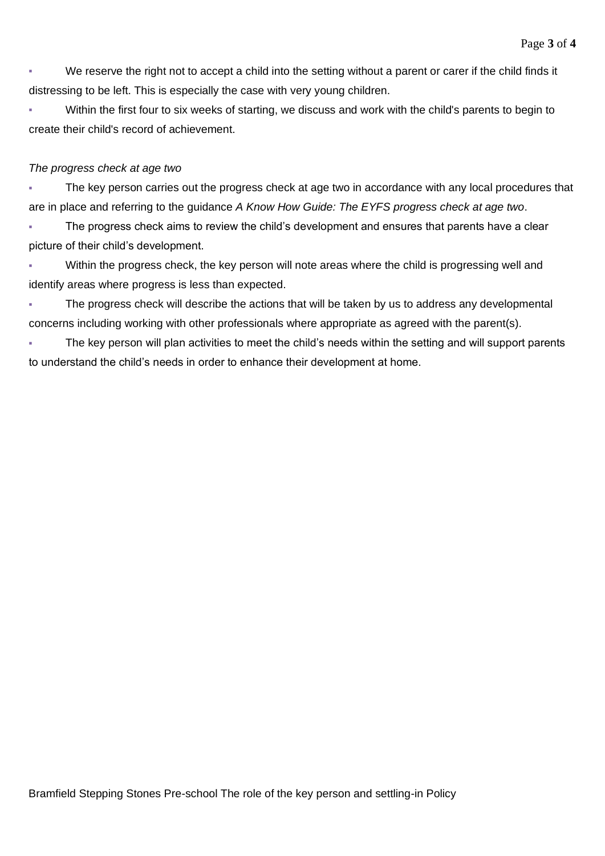We reserve the right not to accept a child into the setting without a parent or carer if the child finds it distressing to be left. This is especially the case with very young children.

▪ Within the first four to six weeks of starting, we discuss and work with the child's parents to begin to create their child's record of achievement.

#### *The progress check at age two*

The key person carries out the progress check at age two in accordance with any local procedures that are in place and referring to the guidance *A Know How Guide: The EYFS progress check at age two*.

The progress check aims to review the child's development and ensures that parents have a clear picture of their child's development.

Within the progress check, the key person will note areas where the child is progressing well and identify areas where progress is less than expected.

The progress check will describe the actions that will be taken by us to address any developmental concerns including working with other professionals where appropriate as agreed with the parent(s).

The key person will plan activities to meet the child's needs within the setting and will support parents to understand the child's needs in order to enhance their development at home.